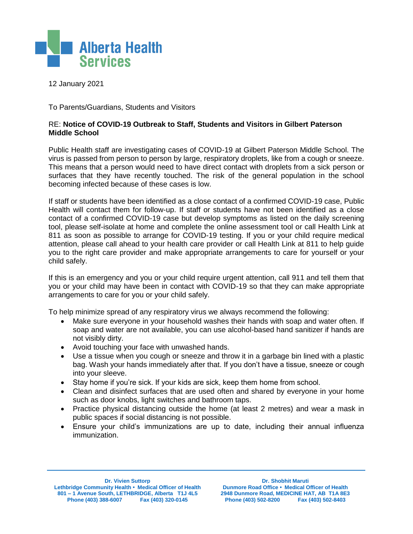

12 January 2021

To Parents/Guardians, Students and Visitors

## RE: **Notice of COVID-19 Outbreak to Staff, Students and Visitors in Gilbert Paterson Middle School**

Public Health staff are investigating cases of COVID-19 at Gilbert Paterson Middle School. The virus is passed from person to person by large, respiratory droplets, like from a cough or sneeze. This means that a person would need to have direct contact with droplets from a sick person or surfaces that they have recently touched. The risk of the general population in the school becoming infected because of these cases is low.

If staff or students have been identified as a close contact of a confirmed COVID-19 case, Public Health will contact them for follow-up. If staff or students have not been identified as a close contact of a confirmed COVID-19 case but develop symptoms as listed on the daily screening tool, please self-isolate at home and complete the online assessment tool or call Health Link at 811 as soon as possible to arrange for COVID-19 testing. If you or your child require medical attention, please call ahead to your health care provider or call Health Link at 811 to help guide you to the right care provider and make appropriate arrangements to care for yourself or your child safely.

If this is an emergency and you or your child require urgent attention, call 911 and tell them that you or your child may have been in contact with COVID-19 so that they can make appropriate arrangements to care for you or your child safely.

To help minimize spread of any respiratory virus we always recommend the following:

- Make sure everyone in your household washes their hands with soap and water often. If soap and water are not available, you can use alcohol-based hand sanitizer if hands are not visibly dirty.
- Avoid touching your face with unwashed hands.
- Use a tissue when you cough or sneeze and throw it in a garbage bin lined with a plastic bag. Wash your hands immediately after that. If you don't have a tissue, sneeze or cough into your sleeve.
- Stay home if you're sick. If your kids are sick, keep them home from school.
- Clean and disinfect surfaces that are used often and shared by everyone in your home such as door knobs, light switches and bathroom taps.
- Practice physical distancing outside the home (at least 2 metres) and wear a mask in public spaces if social distancing is not possible.
- Ensure your child's immunizations are up to date, including their annual influenza immunization.